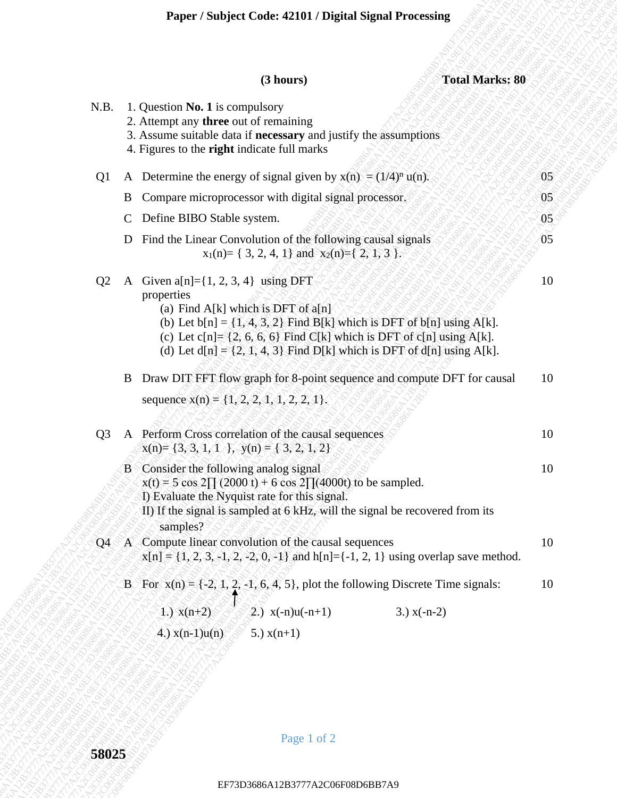|                | Paper / Subject Code: 42101 / Digital Signal Processing |                                                                                                                                                                                                                                                                                                                                             |                |  |  |  |  |
|----------------|---------------------------------------------------------|---------------------------------------------------------------------------------------------------------------------------------------------------------------------------------------------------------------------------------------------------------------------------------------------------------------------------------------------|----------------|--|--|--|--|
|                |                                                         | <b>Total Marks: 80</b><br>(3 hours)                                                                                                                                                                                                                                                                                                         |                |  |  |  |  |
| N.B.           |                                                         | 1. Question <b>No. 1</b> is compulsory<br>2. Attempt any three out of remaining<br>3. Assume suitable data if necessary and justify the assumptions<br>4. Figures to the <b>right</b> indicate full marks                                                                                                                                   |                |  |  |  |  |
| Q <sub>1</sub> |                                                         | A Determine the energy of signal given by $x(n) = (1/4)^n u(n)$ .                                                                                                                                                                                                                                                                           | $05^{\circ}$   |  |  |  |  |
|                | B                                                       | Compare microprocessor with digital signal processor.                                                                                                                                                                                                                                                                                       | 0 <sub>5</sub> |  |  |  |  |
|                | $\mathbf C$                                             | Define BIBO Stable system.                                                                                                                                                                                                                                                                                                                  | 05             |  |  |  |  |
|                | D                                                       | Find the Linear Convolution of the following causal signals<br>$x_1(n) = \{ 3, 2, 4, 1 \}$ and $x_2(n) = \{ 2, 1, 3 \}$ .                                                                                                                                                                                                                   | 05             |  |  |  |  |
| Q <sub>2</sub> | $\mathbf{A}$                                            | Given $a[n]=\{1, 2, 3, 4\}$ using DFT<br>properties<br>(a) Find A[k] which is DFT of $a[n]$<br>(b) Let $b[n] = \{1, 4, 3, 2\}$ Find B[k] which is DFT of $b[n]$ using A[k].<br>(c) Let $c[n] = \{2, 6, 6, 6\}$ Find C[k] which is DFT of $c[n]$ using A[k].<br>(d) Let $d[n] = \{2, 1, 4, 3\}$ Find D[k] which is DFT of $d[n]$ using A[k]. | 10             |  |  |  |  |
|                | B                                                       | Draw DIT FFT flow graph for 8-point sequence and compute DFT for causal<br>sequence $x(n) = \{1, 2, 2, 1, 1, 2, 2, 1\}.$                                                                                                                                                                                                                    | 10             |  |  |  |  |
| Q <sub>3</sub> |                                                         | A Perform Cross correlation of the causal sequences<br>$x(n) = \{3, 3, 1, 1\}$ , $y(n) = \{3, 2, 1, 2\}$                                                                                                                                                                                                                                    | 10             |  |  |  |  |
|                |                                                         | B Consider the following analog signal<br>$x(t) = 5 \cos 2 \prod (2000 t) + 6 \cos 2 \prod (4000t)$ to be sampled.<br>I) Evaluate the Nyquist rate for this signal.<br>II) If the signal is sampled at 6 kHz, will the signal be recovered from its<br>samples?                                                                             | 10             |  |  |  |  |
| Q <sub>4</sub> |                                                         | A Compute linear convolution of the causal sequences<br>$x[n] = \{1, 2, 3, -1, 2, -2, 0, -1\}$ and $h[n] = \{-1, 2, 1\}$ using overlap save method.                                                                                                                                                                                         | 10             |  |  |  |  |
|                |                                                         | B For $x(n) = \{-2, 1, 2, -1, 6, 4, 5\}$ , plot the following Discrete Time signals:<br>(2.) $x(-n)u(-n+1)$<br>3.) $x(-n-2)$<br>1.) $x(n+2)$<br>$(4.) x(n-1)u(n)$<br>5.) $x(n+1)$                                                                                                                                                           | 10             |  |  |  |  |
|                |                                                         |                                                                                                                                                                                                                                                                                                                                             |                |  |  |  |  |
| 58025          |                                                         | Page 1 of 2                                                                                                                                                                                                                                                                                                                                 |                |  |  |  |  |
|                |                                                         | EF73D3686A12B3777A2C06F08D6BB7A9                                                                                                                                                                                                                                                                                                            |                |  |  |  |  |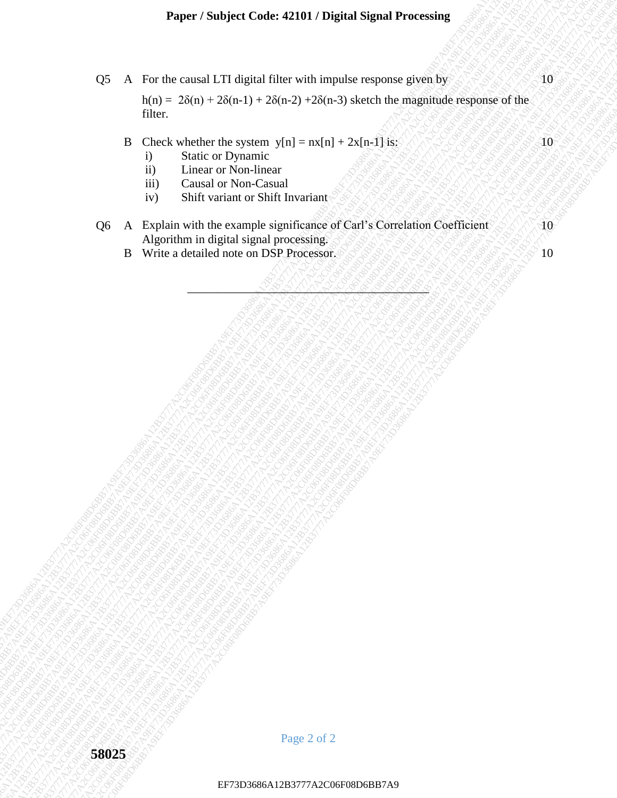# **Paper / Subject Code: 42101 / Digital Signal Processing**

|                | Paper / Subject Code: 42101 / Digital Signal Processing                                                                                                                                      |                             |
|----------------|----------------------------------------------------------------------------------------------------------------------------------------------------------------------------------------------|-----------------------------|
| Q <sub>5</sub> | A For the causal LTI digital filter with impulse response given by<br>$h(n) = 2\delta(n) + 2\delta(n-1) + 2\delta(n-2) + 2\delta(n-3)$ sketch the magnitude response of the<br>filter.       | 10                          |
|                | B Check whether the system $y[n] = nx[n] + 2x[n-1]$ is:<br>Static or Dynamic<br>i)<br>Linear or Non-linear<br>ii)<br>iii)<br>Causal or Non-Casual<br>Shift variant or Shift Invariant<br>iv) | $\langle 10 \rangle$        |
| Q6             | A Explain with the example significance of Carl's Correlation Coefficient<br>Algorithm in digital signal processing.<br>B Write a detailed note on DSP Processor.                            | $\partial \mathbf{0}$<br>10 |
|                |                                                                                                                                                                                              |                             |
| 58025          | Page 2 of 2                                                                                                                                                                                  |                             |
|                | EF73D3686A12B3777A2C06F08D6BB7A9                                                                                                                                                             |                             |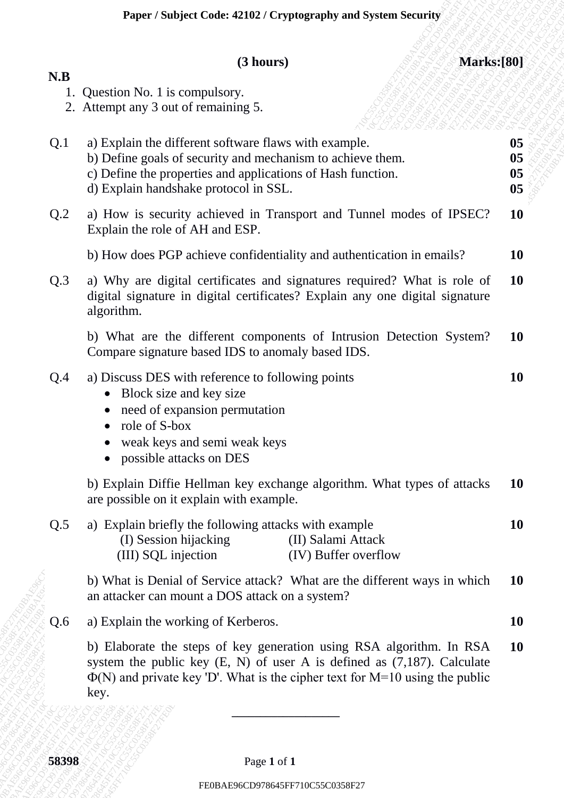# **(3 hours) Marks:[80]**

| N.B<br>1. Question No. 1 is compulsory.<br>2. Attempt any 3 out of remaining 5.<br>a) Explain the different software flaws with example.<br>Q.1<br>b) Define goals of security and mechanism to achieve them.<br>c) Define the properties and applications of Hash function.<br>d) Explain handshake protocol in SSL.<br>Q.2<br>a) How is security achieved in Transport and Tunnel modes of IPSEC?<br>Explain the role of AH and ESP.<br>b) How does PGP achieve confidentiality and authentication in emails? | 05<br>05<br>05<br>0 <sub>5</sub> |
|-----------------------------------------------------------------------------------------------------------------------------------------------------------------------------------------------------------------------------------------------------------------------------------------------------------------------------------------------------------------------------------------------------------------------------------------------------------------------------------------------------------------|----------------------------------|
|                                                                                                                                                                                                                                                                                                                                                                                                                                                                                                                 |                                  |
|                                                                                                                                                                                                                                                                                                                                                                                                                                                                                                                 |                                  |
|                                                                                                                                                                                                                                                                                                                                                                                                                                                                                                                 | <b>10</b>                        |
|                                                                                                                                                                                                                                                                                                                                                                                                                                                                                                                 | <b>10</b>                        |
| Q.3<br>a) Why are digital certificates and signatures required? What is role of<br>digital signature in digital certificates? Explain any one digital signature<br>algorithm.                                                                                                                                                                                                                                                                                                                                   | <b>10</b>                        |
| b) What are the different components of Intrusion Detection System?<br>Compare signature based IDS to anomaly based IDS.                                                                                                                                                                                                                                                                                                                                                                                        | <b>10</b>                        |
| a) Discuss DES with reference to following points<br>Q.4<br>Block size and key size<br>need of expansion permutation<br>role of S-box<br>weak keys and semi weak keys<br>possible attacks on DES                                                                                                                                                                                                                                                                                                                | 10                               |
| b) Explain Diffie Hellman key exchange algorithm. What types of attacks<br>are possible on it explain with example.                                                                                                                                                                                                                                                                                                                                                                                             | <b>10</b>                        |
| a) Explain briefly the following attacks with example<br>Q.5<br>(II) Salami Attack<br>(I) Session hijacking<br>(III) SQL injection<br>(IV) Buffer overflow                                                                                                                                                                                                                                                                                                                                                      | <b>10</b>                        |
| b) What is Denial of Service attack? What are the different ways in which<br>an attacker can mount a DOS attack on a system?                                                                                                                                                                                                                                                                                                                                                                                    | <b>10</b>                        |
| a) Explain the working of Kerberos.<br>Q.6                                                                                                                                                                                                                                                                                                                                                                                                                                                                      | <b>10</b>                        |
| b) Elaborate the steps of key generation using RSA algorithm. In RSA<br>system the public key $(E, N)$ of user A is defined as $(7,187)$ . Calculate<br>$\Phi(N)$ and private key 'D'. What is the cipher text for M=10 using the public<br>key.                                                                                                                                                                                                                                                                | <b>10</b>                        |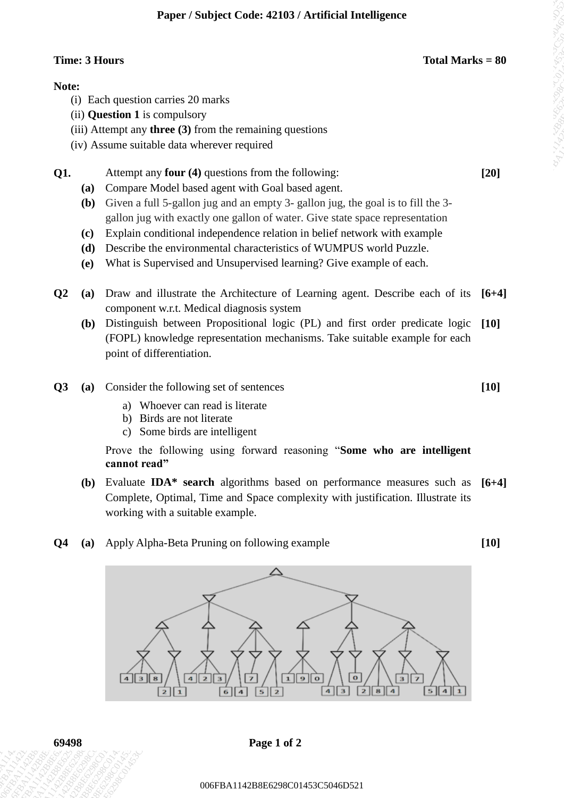### **Time: 3 Hours Total Marks = 80**

### **Note:**

- (i) Each question carries 20 marks
- (ii) **Question 1** is compulsory
- (iii) Attempt any **three (3)** from the remaining questions
- (iv) Assume suitable data wherever required

**Q1.** Attempt any **four (4)** questions from the following: **[20]**

- **(a)** Compare Model based agent with Goal based agent.
- **(b)** Given a full 5-gallon jug and an empty 3- gallon jug, the goal is to fill the 3 gallon jug with exactly one gallon of water. Give state space representation
- **(c)** Explain conditional independence relation in belief network with example
- **(d)** Describe the environmental characteristics of WUMPUS world Puzzle.
- **(e)** What is Supervised and Unsupervised learning? Give example of each.
- **Q2 (a)** Draw and illustrate the Architecture of Learning agent. Describe each of its **[6+4]** component w.r.t. Medical diagnosis system
	- **(b)** Distinguish between Propositional logic (PL) and first order predicate logic (FOPL) knowledge representation mechanisms. Take suitable example for each point of differentiation. **[10]**
- **Q3 (a)** Consider the following set of sentences
	- a) Whoever can read is literate
	- b) Birds are not literate
	- c) Some birds are intelligent

Prove the following using forward reasoning "**Some who are intelligent cannot read"**

- **(b)** Evaluate **IDA\* search** algorithms based on performance measures such as **[6+4]** Complete, Optimal, Time and Space complexity with justification. Illustrate its working with a suitable example.
- **Q4 (a)** Apply Alpha-Beta Pruning on following example



**69498 Page 1 of 2**

**[10]**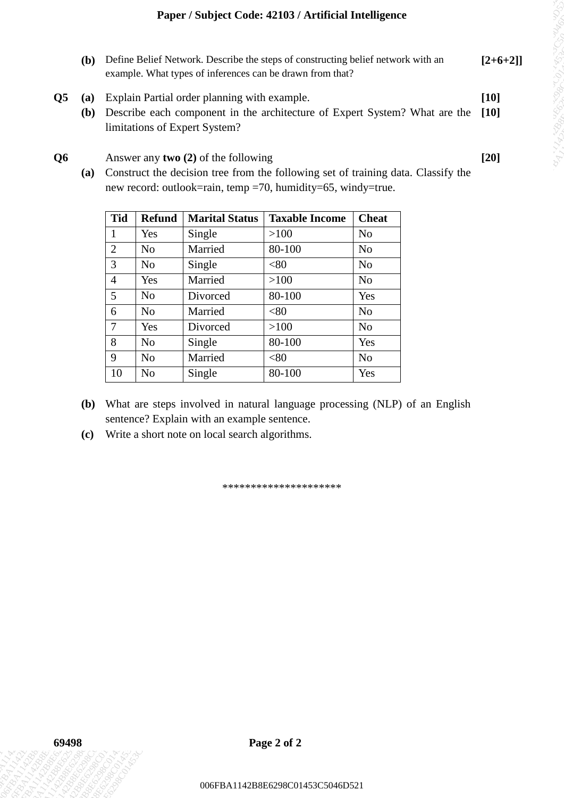- **(b)** Define Belief Network. Describe the steps of constructing belief network with an example. What types of inferences can be drawn from that? **[2+6+2]]**
- **Q5 (a)** Explain Partial order planning with example. **[10]**
	- **(b)** Describe each component in the architecture of Expert System? What are the limitations of Expert System? **[10]**

|                           | <b>(b)</b>          |                                |                       |                                                                                                         | Define Belief Network. Describe the steps of constructing belief network with an<br>example. What types of inferences can be drawn from that?         |                | $[2+6+2]$ |
|---------------------------|---------------------|--------------------------------|-----------------------|---------------------------------------------------------------------------------------------------------|-------------------------------------------------------------------------------------------------------------------------------------------------------|----------------|-----------|
| $\overline{\mathbf{Q}}$ 5 | (a)                 |                                |                       | Explain Partial order planning with example.                                                            |                                                                                                                                                       |                | $[10]$    |
|                           | ( <b>b</b> )        |                                |                       | limitations of Expert System?                                                                           | Describe each component in the architecture of Expert System? What are the                                                                            |                | $[10]$    |
| Q <sub>6</sub>            |                     |                                |                       | Answer any two $(2)$ of the following                                                                   |                                                                                                                                                       |                | $[20]$    |
|                           |                     |                                |                       |                                                                                                         | (a) Construct the decision tree from the following set of training data. Classify the<br>new record: outlook=rain, temp =70, humidity=65, windy=true. |                |           |
|                           |                     |                                |                       |                                                                                                         |                                                                                                                                                       |                |           |
|                           |                     | <b>Tid</b>                     | <b>Refund</b>         | <b>Marital Status</b>                                                                                   | <b>Taxable Income</b>                                                                                                                                 | <b>Cheat</b>   |           |
|                           |                     | $\mathbf{1}$<br>$\overline{2}$ | Yes<br>N <sub>o</sub> | Single<br>Married                                                                                       | >100<br>80-100                                                                                                                                        | No<br>No       |           |
|                           |                     | 3                              | N <sub>o</sub>        | Single                                                                                                  | <80                                                                                                                                                   | No             |           |
|                           |                     | $\overline{4}$                 | Yes                   | Married                                                                                                 | >100                                                                                                                                                  | No             |           |
|                           |                     | 5                              | N <sub>o</sub>        | Divorced                                                                                                | 80-100                                                                                                                                                | Yes            |           |
|                           |                     | 6                              | N <sub>o</sub>        | Married                                                                                                 | < 80                                                                                                                                                  | No             |           |
|                           |                     | $\tau$                         | Yes                   | Divorced                                                                                                | >100                                                                                                                                                  | N <sub>o</sub> |           |
|                           |                     | 8                              | N <sub>o</sub>        | Single                                                                                                  | 80-100                                                                                                                                                | Yes            |           |
|                           |                     | 9                              | N <sub>0</sub>        | Married                                                                                                 | < 80                                                                                                                                                  | No             |           |
|                           |                     |                                |                       |                                                                                                         |                                                                                                                                                       |                |           |
|                           | ( <b>b</b> )<br>(c) | 10                             | No                    | Single<br>sentence? Explain with an example sentence.<br>Write a short note on local search algorithms. | 80-100<br>What are steps involved in natural language processing (NLP) of an English                                                                  | Yes            |           |
|                           |                     |                                |                       |                                                                                                         |                                                                                                                                                       |                |           |
|                           |                     |                                |                       |                                                                                                         | *********************                                                                                                                                 |                |           |
|                           |                     |                                |                       |                                                                                                         |                                                                                                                                                       |                |           |
|                           |                     |                                |                       |                                                                                                         |                                                                                                                                                       |                |           |
|                           |                     |                                |                       |                                                                                                         |                                                                                                                                                       |                |           |
|                           |                     |                                |                       |                                                                                                         |                                                                                                                                                       |                |           |
|                           |                     |                                |                       |                                                                                                         |                                                                                                                                                       |                |           |
|                           |                     |                                |                       |                                                                                                         |                                                                                                                                                       |                |           |
| 69498                     |                     |                                |                       |                                                                                                         | Page 2 of 2                                                                                                                                           |                |           |
|                           |                     |                                |                       |                                                                                                         |                                                                                                                                                       |                |           |

- **(b)** What are steps involved in natural language processing (NLP) of an English sentence? Explain with an example sentence.
- **(c)** Write a short note on local search algorithms.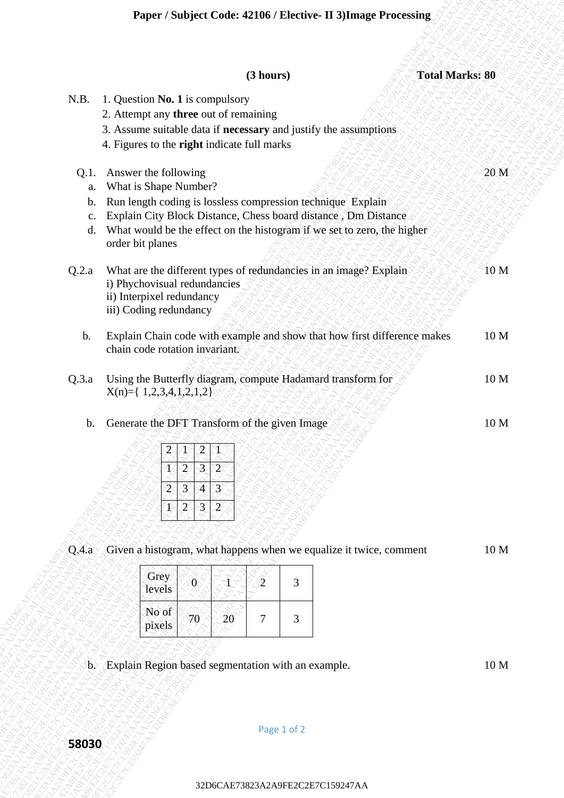|                              |                                                                                                                                                                                                                                                                               |                                                                                                                |                                  | (3 hours)       |   |  |  | <b>Total Marks: 80</b> |
|------------------------------|-------------------------------------------------------------------------------------------------------------------------------------------------------------------------------------------------------------------------------------------------------------------------------|----------------------------------------------------------------------------------------------------------------|----------------------------------|-----------------|---|--|--|------------------------|
| N.B.                         | 1. Question No. 1 is compulsory<br>2. Attempt any three out of remaining<br>3. Assume suitable data if necessary and justify the assumptions<br>4. Figures to the right indicate full marks                                                                                   |                                                                                                                |                                  |                 |   |  |  |                        |
| Q.1.<br>a.<br>b.<br>c.<br>d. | Answer the following<br>What is Shape Number?<br>Run length coding is lossless compression technique Explain<br>Explain City Block Distance, Chess board distance, Dm Distance<br>What would be the effect on the histogram if we set to zero, the higher<br>order bit planes |                                                                                                                |                                  |                 |   |  |  | 20 <sub>M</sub>        |
| Q.2.a                        | What are the different types of redundancies in an image? Explain<br>i) Phychovisual redundancies<br>ii) Interpixel redundancy<br>iii) Coding redundancy                                                                                                                      |                                                                                                                |                                  |                 |   |  |  | 10 M                   |
| $\mathbf{b}$ .               | Explain Chain code with example and show that how first difference makes<br>chain code rotation invariant.                                                                                                                                                                    |                                                                                                                |                                  |                 |   |  |  | 10 M                   |
| Q.3.a                        | Using the Butterfly diagram, compute Hadamard transform for<br>$X(n)=\{ 1,2,3,4,1,2,1,2 \}$                                                                                                                                                                                   |                                                                                                                |                                  |                 |   |  |  | 10 <sub>M</sub>        |
| $\mathbf{b}$ .               | Generate the DFT Transform of the given Image<br>$\mathbf{2}^{\circ}$                                                                                                                                                                                                         | $\overline{\mathbf{2}}$<br>3<br>$\overline{c}$<br>$\mathcal{F}$<br>$\overline{4}$<br>$3^\circ$<br>$\mathbf{2}$ | $2^\circ$<br>$\overline{3}$<br>2 |                 |   |  |  | 10 <sub>M</sub>        |
| Q.A.a                        | Given a histogram, what happens when we equalize it twice, comment                                                                                                                                                                                                            |                                                                                                                |                                  |                 |   |  |  | 10 <sub>M</sub>        |
|                              | Grey<br>levels                                                                                                                                                                                                                                                                | $\boldsymbol{0}$                                                                                               |                                  | $\mathfrak{2}%$ | 3 |  |  |                        |
|                              | No of<br>pixels                                                                                                                                                                                                                                                               | 70                                                                                                             | 20                               | 7               | 3 |  |  |                        |
|                              | b. Explain Region based segmentation with an example.                                                                                                                                                                                                                         |                                                                                                                |                                  |                 |   |  |  | 10 <sub>M</sub>        |
|                              |                                                                                                                                                                                                                                                                               |                                                                                                                |                                  |                 |   |  |  |                        |